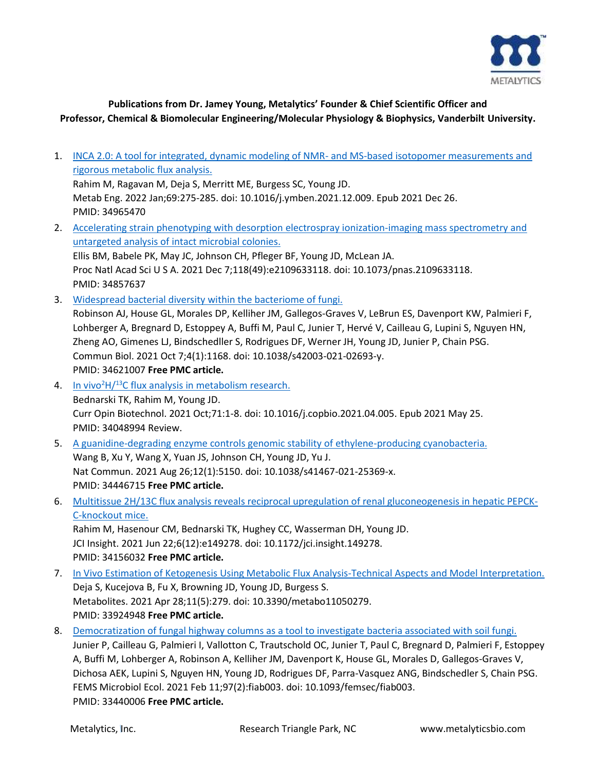

## **Publications from Dr. Jamey Young, Metalytics' Founder & Chief Scientific Officer and Professor, Chemical & Biomolecular Engineering/Molecular Physiology & Biophysics, Vanderbilt University.**

- 1. [INCA 2.0: A tool for integrated, dynamic modeling of NMR-](https://pubmed.ncbi.nlm.nih.gov/34965470/) and MS-based isotopomer measurements and [rigorous metabolic flux analysis.](https://pubmed.ncbi.nlm.nih.gov/34965470/) Rahim M, Ragavan M, Deja S, Merritt ME, Burgess SC, Young JD. Metab Eng. 2022 Jan;69:275-285. doi: 10.1016/j.ymben.2021.12.009. Epub 2021 Dec 26. PMID: 34965470 2. [Accelerating strain phenotyping with desorption electrospray ionization-imaging mass spectrometry and](https://pubmed.ncbi.nlm.nih.gov/34857637/)  [untargeted analysis of intact microbial colonies.](https://pubmed.ncbi.nlm.nih.gov/34857637/) Ellis BM, Babele PK, May JC, Johnson CH, Pfleger BF, Young JD, McLean JA. Proc Natl Acad Sci U S A. 2021 Dec 7;118(49):e2109633118. doi: 10.1073/pnas.2109633118. PMID: 34857637 3. [Widespread bacterial diversity within the bacteriome of fungi.](https://pubmed.ncbi.nlm.nih.gov/34621007/) Robinson AJ, House GL, Morales DP, Kelliher JM, Gallegos-Graves V, LeBrun ES, Davenport KW, Palmieri F, Lohberger A, Bregnard D, Estoppey A, Buffi M, Paul C, Junier T, Hervé V, Cailleau G, Lupini S, Nguyen HN, Zheng AO, Gimenes LJ, Bindschedller S, Rodrigues DF, Werner JH, Young JD, Junier P, Chain PSG. Commun Biol. 2021 Oct 7;4(1):1168. doi: 10.1038/s42003-021-02693-y. PMID: 34621007 **Free PMC article.** 4. In vivo<sup>2</sup>H $/$ <sup>13</sup>[C flux analysis in metabolism research.](https://pubmed.ncbi.nlm.nih.gov/34048994/) Bednarski TK, Rahim M, Young JD. Curr Opin Biotechnol. 2021 Oct;71:1-8. doi: 10.1016/j.copbio.2021.04.005. Epub 2021 May 25. PMID: 34048994 Review. 5. [A guanidine-degrading enzyme controls genomic stability of ethylene-producing cyanobacteria.](https://pubmed.ncbi.nlm.nih.gov/34446715/) Wang B, Xu Y, Wang X, Yuan JS, Johnson CH, Young JD, Yu J. Nat Commun. 2021 Aug 26;12(1):5150. doi: 10.1038/s41467-021-25369-x. PMID: 34446715 **Free PMC article.** 6. [Multitissue 2H/13C flux analysis reveals reciprocal upregulation of renal gluconeogenesis in hepatic PEPCK-](https://pubmed.ncbi.nlm.nih.gov/34156032/)[C-knockout mice.](https://pubmed.ncbi.nlm.nih.gov/34156032/) Rahim M, Hasenour CM, Bednarski TK, Hughey CC, Wasserman DH, Young JD. JCI Insight. 2021 Jun 22;6(12):e149278. doi: 10.1172/jci.insight.149278. PMID: 34156032 **Free PMC article.** 7. [In Vivo Estimation of Ketogenesis Using Metabolic Flux Analysis-Technical Aspects and Model Interpretation.](https://pubmed.ncbi.nlm.nih.gov/33924948/) Deja S, Kucejova B, Fu X, Browning JD, Young JD, Burgess S. Metabolites. 2021 Apr 28;11(5):279. doi: 10.3390/metabo11050279. PMID: 33924948 **Free PMC article.** 8. [Democratization of fungal highway columns as a tool to investigate bacteria associated with soil fungi.](https://pubmed.ncbi.nlm.nih.gov/33440006/)
	- Junier P, Cailleau G, Palmieri I, Vallotton C, Trautschold OC, Junier T, Paul C, Bregnard D, Palmieri F, Estoppey A, Buffi M, Lohberger A, Robinson A, Kelliher JM, Davenport K, House GL, Morales D, Gallegos-Graves V, Dichosa AEK, Lupini S, Nguyen HN, Young JD, Rodrigues DF, Parra-Vasquez ANG, Bindschedler S, Chain PSG. FEMS Microbiol Ecol. 2021 Feb 11;97(2):fiab003. doi: 10.1093/femsec/fiab003. PMID: 33440006 **Free PMC article.**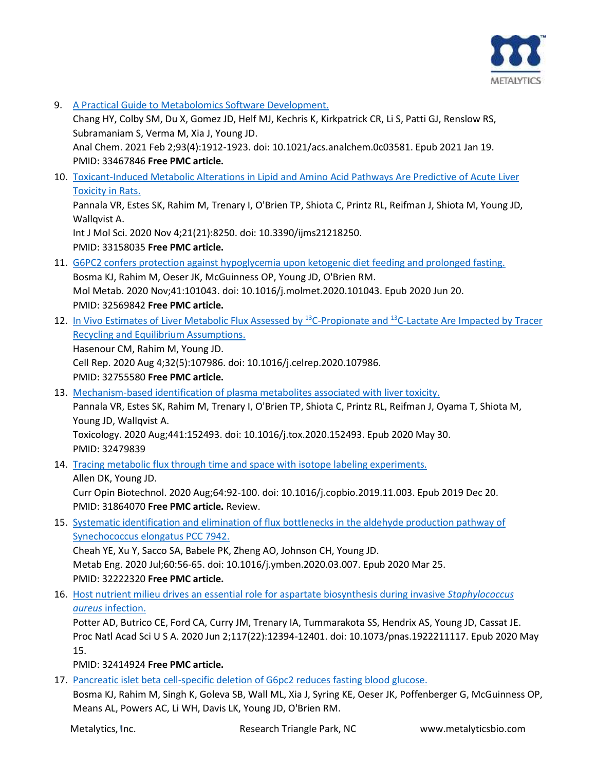

9. [A Practical Guide to Metabolomics Software Development.](https://pubmed.ncbi.nlm.nih.gov/33467846/)

Chang HY, Colby SM, Du X, Gomez JD, Helf MJ, Kechris K, Kirkpatrick CR, Li S, Patti GJ, Renslow RS, Subramaniam S, Verma M, Xia J, Young JD.

Anal Chem. 2021 Feb 2;93(4):1912-1923. doi: 10.1021/acs.analchem.0c03581. Epub 2021 Jan 19. PMID: 33467846 **Free PMC article.**

10. [Toxicant-Induced Metabolic Alterations in Lipid and Amino Acid Pathways Are Predictive of Acute Liver](https://pubmed.ncbi.nlm.nih.gov/33158035/)  [Toxicity in Rats.](https://pubmed.ncbi.nlm.nih.gov/33158035/)

Pannala VR, Estes SK, Rahim M, Trenary I, O'Brien TP, Shiota C, Printz RL, Reifman J, Shiota M, Young JD, Wallqvist A.

Int J Mol Sci. 2020 Nov 4;21(21):8250. doi: 10.3390/ijms21218250. PMID: 33158035 **Free PMC article.**

- 11. [G6PC2 confers protection against hypoglycemia upon ketogenic diet feeding and prolonged fasting.](https://pubmed.ncbi.nlm.nih.gov/32569842/) Bosma KJ, Rahim M, Oeser JK, McGuinness OP, Young JD, O'Brien RM. Mol Metab. 2020 Nov;41:101043. doi: 10.1016/j.molmet.2020.101043. Epub 2020 Jun 20. PMID: 32569842 **Free PMC article.**
- 12. [In Vivo Estimates of Liver Metabolic Flux Assessed by](https://pubmed.ncbi.nlm.nih.gov/32755580/) <sup>13</sup>C-Propionate and <sup>13</sup>C-Lactate Are Impacted by Tracer [Recycling and Equilibrium Assumptions.](https://pubmed.ncbi.nlm.nih.gov/32755580/) Hasenour CM, Rahim M, Young JD. Cell Rep. 2020 Aug 4;32(5):107986. doi: 10.1016/j.celrep.2020.107986. PMID: 32755580 **Free PMC article.**
- 13. [Mechanism-based identification of plasma metabolites associated with liver toxicity.](https://pubmed.ncbi.nlm.nih.gov/32479839/) Pannala VR, Estes SK, Rahim M, Trenary I, O'Brien TP, Shiota C, Printz RL, Reifman J, Oyama T, Shiota M, Young JD, Wallqvist A.

Toxicology. 2020 Aug;441:152493. doi: 10.1016/j.tox.2020.152493. Epub 2020 May 30. PMID: 32479839

14. [Tracing metabolic flux through time and space with isotope labeling experiments.](https://pubmed.ncbi.nlm.nih.gov/31864070/)

Allen DK, Young JD. Curr Opin Biotechnol. 2020 Aug;64:92-100. doi: 10.1016/j.copbio.2019.11.003. Epub 2019 Dec 20. PMID: 31864070 **Free PMC article.** Review.

15. [Systematic identification and elimination of flux bottlenecks in the aldehyde production pathway of](https://pubmed.ncbi.nlm.nih.gov/32222320/)  [Synechococcus elongatus PCC 7942.](https://pubmed.ncbi.nlm.nih.gov/32222320/)

Cheah YE, Xu Y, Sacco SA, Babele PK, Zheng AO, Johnson CH, Young JD. Metab Eng. 2020 Jul;60:56-65. doi: 10.1016/j.ymben.2020.03.007. Epub 2020 Mar 25. PMID: 32222320 **Free PMC article.**

16. [Host nutrient milieu drives an essential role for aspartate biosynthesis during invasive](https://pubmed.ncbi.nlm.nih.gov/32414924/) *Staphylococcus aureus* [infection.](https://pubmed.ncbi.nlm.nih.gov/32414924/)

Potter AD, Butrico CE, Ford CA, Curry JM, Trenary IA, Tummarakota SS, Hendrix AS, Young JD, Cassat JE. Proc Natl Acad Sci U S A. 2020 Jun 2;117(22):12394-12401. doi: 10.1073/pnas.1922211117. Epub 2020 May 15.

PMID: 32414924 **Free PMC article.**

17. [Pancreatic islet beta cell-specific deletion of G6pc2 reduces fasting blood glucose.](https://pubmed.ncbi.nlm.nih.gov/32213654/)

Bosma KJ, Rahim M, Singh K, Goleva SB, Wall ML, Xia J, Syring KE, Oeser JK, Poffenberger G, McGuinness OP, Means AL, Powers AC, Li WH, Davis LK, Young JD, O'Brien RM.

Metalytics, Inc. The Superson Cheesearch Triangle Park, NC www.metalyticsbio.com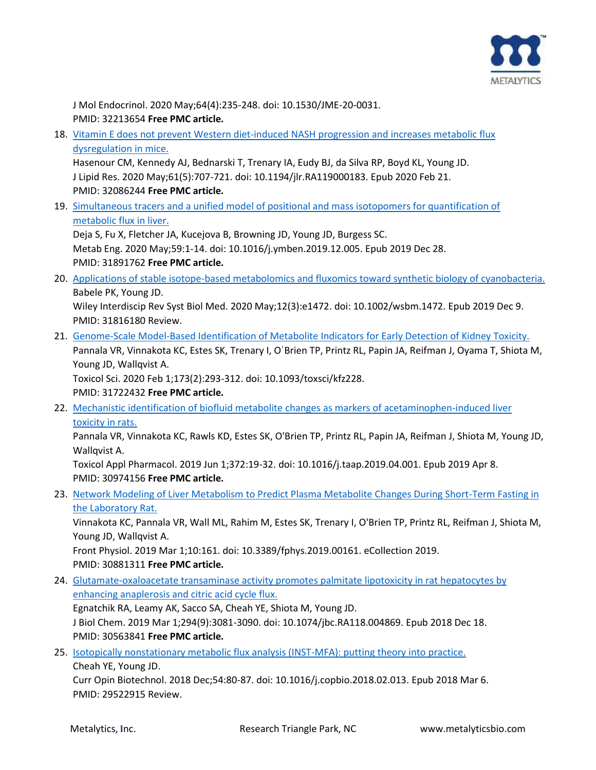

J Mol Endocrinol. 2020 May;64(4):235-248. doi: 10.1530/JME-20-0031. PMID: 32213654 **Free PMC article.**

18. [Vitamin E does not prevent Western diet-induced NASH progression and increases metabolic flux](https://pubmed.ncbi.nlm.nih.gov/32086244/)  [dysregulation in mice.](https://pubmed.ncbi.nlm.nih.gov/32086244/)

Hasenour CM, Kennedy AJ, Bednarski T, Trenary IA, Eudy BJ, da Silva RP, Boyd KL, Young JD. J Lipid Res. 2020 May;61(5):707-721. doi: 10.1194/jlr.RA119000183. Epub 2020 Feb 21. PMID: 32086244 **Free PMC article.**

19. [Simultaneous tracers and a unified model of positional and mass isotopomers for quantification of](https://pubmed.ncbi.nlm.nih.gov/31891762/)  [metabolic flux in liver.](https://pubmed.ncbi.nlm.nih.gov/31891762/)

Deja S, Fu X, Fletcher JA, Kucejova B, Browning JD, Young JD, Burgess SC. Metab Eng. 2020 May;59:1-14. doi: 10.1016/j.ymben.2019.12.005. Epub 2019 Dec 28. PMID: 31891762 **Free PMC article.**

20. [Applications of stable isotope-based metabolomics and fluxomics toward synthetic biology of cyanobacteria.](https://pubmed.ncbi.nlm.nih.gov/31816180/) Babele PK, Young JD.

Wiley Interdiscip Rev Syst Biol Med. 2020 May;12(3):e1472. doi: 10.1002/wsbm.1472. Epub 2019 Dec 9. PMID: 31816180 Review.

- 21. [Genome-Scale Model-Based Identification of Metabolite Indicators for Early Detection of Kidney Toxicity.](https://pubmed.ncbi.nlm.nih.gov/31722432/) Pannala VR, Vinnakota KC, Estes SK, Trenary I, OˈBrien TP, Printz RL, Papin JA, Reifman J, Oyama T, Shiota M, Young JD, Wallqvist A. Toxicol Sci. 2020 Feb 1;173(2):293-312. doi: 10.1093/toxsci/kfz228. PMID: 31722432 **Free PMC article.**
- 22. [Mechanistic identification of biofluid metabolite changes as markers of acetaminophen-induced liver](https://pubmed.ncbi.nlm.nih.gov/30974156/)  [toxicity in rats.](https://pubmed.ncbi.nlm.nih.gov/30974156/)

Pannala VR, Vinnakota KC, Rawls KD, Estes SK, O'Brien TP, Printz RL, Papin JA, Reifman J, Shiota M, Young JD, Wallqvist A.

Toxicol Appl Pharmacol. 2019 Jun 1;372:19-32. doi: 10.1016/j.taap.2019.04.001. Epub 2019 Apr 8. PMID: 30974156 **Free PMC article.**

23. [Network Modeling of Liver Metabolism to Predict Plasma Metabolite Changes During Short-Term Fasting in](https://pubmed.ncbi.nlm.nih.gov/30881311/)  [the Laboratory Rat.](https://pubmed.ncbi.nlm.nih.gov/30881311/)

Vinnakota KC, Pannala VR, Wall ML, Rahim M, Estes SK, Trenary I, O'Brien TP, Printz RL, Reifman J, Shiota M, Young JD, Wallqvist A.

Front Physiol. 2019 Mar 1;10:161. doi: 10.3389/fphys.2019.00161. eCollection 2019. PMID: 30881311 **Free PMC article.**

24. Glutamate-oxaloacetate transaminase activity promotes palmitate lipotoxicity in rat hepatocytes by [enhancing anaplerosis and citric acid cycle flux.](https://pubmed.ncbi.nlm.nih.gov/30563841/)

Egnatchik RA, Leamy AK, Sacco SA, Cheah YE, Shiota M, Young JD. J Biol Chem. 2019 Mar 1;294(9):3081-3090. doi: 10.1074/jbc.RA118.004869. Epub 2018 Dec 18. PMID: 30563841 **Free PMC article.**

25. [Isotopically nonstationary metabolic flux analysis \(INST-MFA\): putting theory into practice.](https://pubmed.ncbi.nlm.nih.gov/29522915/) Cheah YE, Young JD.

Curr Opin Biotechnol. 2018 Dec;54:80-87. doi: 10.1016/j.copbio.2018.02.013. Epub 2018 Mar 6. PMID: 29522915 Review.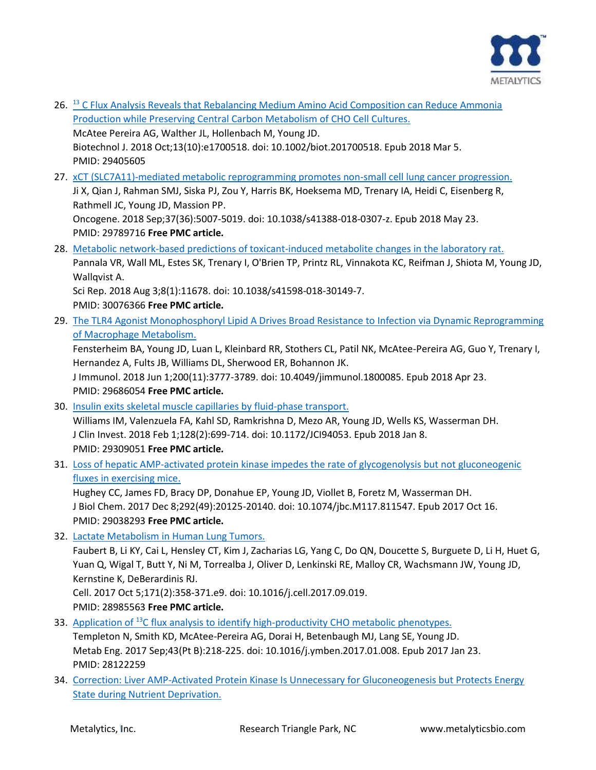

26. <sup>13</sup> [C Flux Analysis Reveals that Rebalancing Medium Amino Acid Composition can Reduce Ammonia](https://pubmed.ncbi.nlm.nih.gov/29405605/)  [Production while Preserving Central Carbon Metabolism of CHO Cell Cultures.](https://pubmed.ncbi.nlm.nih.gov/29405605/) McAtee Pereira AG, Walther JL, Hollenbach M, Young JD.

Biotechnol J. 2018 Oct;13(10):e1700518. doi: 10.1002/biot.201700518. Epub 2018 Mar 5. PMID: 29405605

27. xCT [\(SLC7A11\)-mediated metabolic reprogramming promotes non-small cell lung cancer progression.](https://pubmed.ncbi.nlm.nih.gov/29789716/) Ji X, Qian J, Rahman SMJ, Siska PJ, Zou Y, Harris BK, Hoeksema MD, Trenary IA, Heidi C, Eisenberg R, Rathmell JC, Young JD, Massion PP. Oncogene. 2018 Sep;37(36):5007-5019. doi: 10.1038/s41388-018-0307-z. Epub 2018 May 23.

PMID: 29789716 **Free PMC article.**

- 28. [Metabolic network-based predictions of toxicant-induced metabolite changes in the laboratory rat.](https://pubmed.ncbi.nlm.nih.gov/30076366/) Pannala VR, Wall ML, Estes SK, Trenary I, O'Brien TP, Printz RL, Vinnakota KC, Reifman J, Shiota M, Young JD, Wallqvist A. Sci Rep. 2018 Aug 3;8(1):11678. doi: 10.1038/s41598-018-30149-7. PMID: 30076366 **Free PMC article.**
- 29. The TLR4 Agonist Monophosphoryl Lipid A Drives Broad Resistance to Infection via Dynamic Reprogramming [of Macrophage Metabolism.](https://pubmed.ncbi.nlm.nih.gov/29686054/)

Fensterheim BA, Young JD, Luan L, Kleinbard RR, Stothers CL, Patil NK, McAtee-Pereira AG, Guo Y, Trenary I, Hernandez A, Fults JB, Williams DL, Sherwood ER, Bohannon JK.

J Immunol. 2018 Jun 1;200(11):3777-3789. doi: 10.4049/jimmunol.1800085. Epub 2018 Apr 23. PMID: 29686054 **Free PMC article.**

- 30. [Insulin exits skeletal muscle capillaries by fluid-phase transport.](https://pubmed.ncbi.nlm.nih.gov/29309051/) Williams IM, Valenzuela FA, Kahl SD, Ramkrishna D, Mezo AR, Young JD, Wells KS, Wasserman DH. J Clin Invest. 2018 Feb 1;128(2):699-714. doi: 10.1172/JCI94053. Epub 2018 Jan 8. PMID: 29309051 **Free PMC article.**
- 31. [Loss of hepatic AMP-activated protein kinase impedes the rate of glycogenolysis but not gluconeogenic](https://pubmed.ncbi.nlm.nih.gov/29038293/) [fluxes in exercising mice.](https://pubmed.ncbi.nlm.nih.gov/29038293/)

Hughey CC, James FD, Bracy DP, Donahue EP, Young JD, Viollet B, Foretz M, Wasserman DH. J Biol Chem. 2017 Dec 8;292(49):20125-20140. doi: 10.1074/jbc.M117.811547. Epub 2017 Oct 16. PMID: 29038293 **Free PMC article.**

32. [Lactate Metabolism in Human Lung Tumors.](https://pubmed.ncbi.nlm.nih.gov/28985563/)

Faubert B, Li KY, Cai L, Hensley CT, Kim J, Zacharias LG, Yang C, Do QN, Doucette S, Burguete D, Li H, Huet G, Yuan Q, Wigal T, Butt Y, Ni M, Torrealba J, Oliver D, Lenkinski RE, Malloy CR, Wachsmann JW, Young JD, Kernstine K, DeBerardinis RJ.

Cell. 2017 Oct 5;171(2):358-371.e9. doi: 10.1016/j.cell.2017.09.019. PMID: 28985563 **Free PMC article.**

- 33. Application of <sup>13</sup>[C flux analysis to identify high-productivity CHO metabolic phenotypes.](https://pubmed.ncbi.nlm.nih.gov/28122259/) Templeton N, Smith KD, McAtee-Pereira AG, Dorai H, Betenbaugh MJ, Lang SE, Young JD. Metab Eng. 2017 Sep;43(Pt B):218-225. doi: 10.1016/j.ymben.2017.01.008. Epub 2017 Jan 23. PMID: 28122259
- 34. [Correction: Liver AMP-Activated Protein Kinase Is Unnecessary for Gluconeogenesis but Protects Energy](https://pubmed.ncbi.nlm.nih.gov/28813521/)  [State during Nutrient Deprivation.](https://pubmed.ncbi.nlm.nih.gov/28813521/)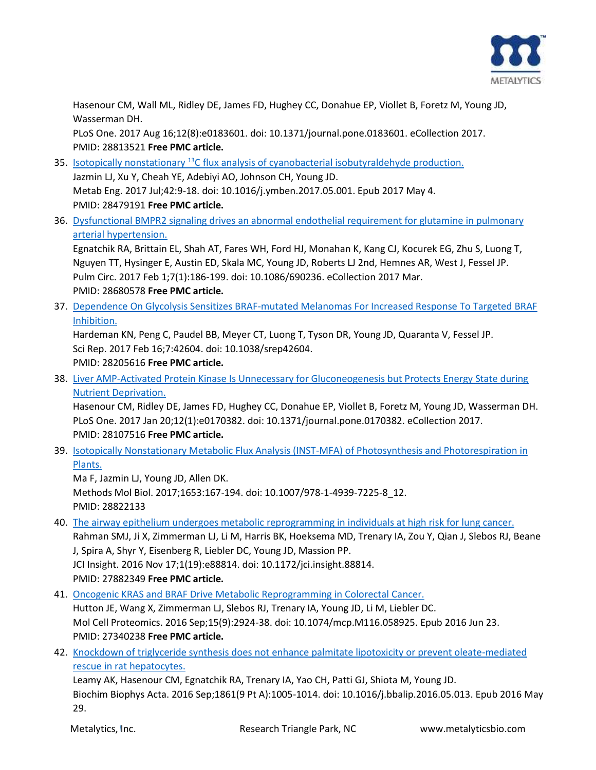

Hasenour CM, Wall ML, Ridley DE, James FD, Hughey CC, Donahue EP, Viollet B, Foretz M, Young JD, Wasserman DH.

PLoS One. 2017 Aug 16;12(8):e0183601. doi: 10.1371/journal.pone.0183601. eCollection 2017. PMID: 28813521 **Free PMC article.**

- 35. Isotopically nonstationary <sup>13</sup>[C flux analysis of cyanobacterial isobutyraldehyde production.](https://pubmed.ncbi.nlm.nih.gov/28479191/) Jazmin LJ, Xu Y, Cheah YE, Adebiyi AO, Johnson CH, Young JD. Metab Eng. 2017 Jul;42:9-18. doi: 10.1016/j.ymben.2017.05.001. Epub 2017 May 4. PMID: 28479191 **Free PMC article.**
- 36. [Dysfunctional BMPR2 signaling drives an abnormal endothelial requirement for glutamine in pulmonary](https://pubmed.ncbi.nlm.nih.gov/28680578/)  [arterial hypertension.](https://pubmed.ncbi.nlm.nih.gov/28680578/)

Egnatchik RA, Brittain EL, Shah AT, Fares WH, Ford HJ, Monahan K, Kang CJ, Kocurek EG, Zhu S, Luong T, Nguyen TT, Hysinger E, Austin ED, Skala MC, Young JD, Roberts LJ 2nd, Hemnes AR, West J, Fessel JP. Pulm Circ. 2017 Feb 1;7(1):186-199. doi: 10.1086/690236. eCollection 2017 Mar. PMID: 28680578 **Free PMC article.**

37. [Dependence On Glycolysis Sensitizes BRAF-mutated Melanomas For Increased Response To Targeted BRAF](https://pubmed.ncbi.nlm.nih.gov/28205616/)  [Inhibition.](https://pubmed.ncbi.nlm.nih.gov/28205616/)

Hardeman KN, Peng C, Paudel BB, Meyer CT, Luong T, Tyson DR, Young JD, Quaranta V, Fessel JP. Sci Rep. 2017 Feb 16;7:42604. doi: 10.1038/srep42604. PMID: 28205616 **Free PMC article.**

38. Liver AMP-Activated Protein Kinase Is Unnecessary for Gluconeogenesis but Protects Energy State during [Nutrient Deprivation.](https://pubmed.ncbi.nlm.nih.gov/28107516/)

Hasenour CM, Ridley DE, James FD, Hughey CC, Donahue EP, Viollet B, Foretz M, Young JD, Wasserman DH. PLoS One. 2017 Jan 20;12(1):e0170382. doi: 10.1371/journal.pone.0170382. eCollection 2017. PMID: 28107516 **Free PMC article.**

39. [Isotopically Nonstationary Metabolic Flux Analysis \(INST-MFA\) of Photosynthesis and Photorespiration in](https://pubmed.ncbi.nlm.nih.gov/28822133/)  [Plants.](https://pubmed.ncbi.nlm.nih.gov/28822133/)

Ma F, Jazmin LJ, Young JD, Allen DK. Methods Mol Biol. 2017;1653:167-194. doi: 10.1007/978-1-4939-7225-8\_12. PMID: 28822133

40. [The airway epithelium undergoes metabolic reprogramming in individuals at high risk for lung cancer.](https://pubmed.ncbi.nlm.nih.gov/27882349/) Rahman SMJ, Ji X, Zimmerman LJ, Li M, Harris BK, Hoeksema MD, Trenary IA, Zou Y, Qian J, Slebos RJ, Beane J, Spira A, Shyr Y, Eisenberg R, Liebler DC, Young JD, Massion PP. JCI Insight. 2016 Nov 17;1(19):e88814. doi: 10.1172/jci.insight.88814.

PMID: 27882349 **Free PMC article.**

41. [Oncogenic KRAS and BRAF Drive Metabolic Reprogramming in Colorectal Cancer.](https://pubmed.ncbi.nlm.nih.gov/27340238/)

Hutton JE, Wang X, Zimmerman LJ, Slebos RJ, Trenary IA, Young JD, Li M, Liebler DC. Mol Cell Proteomics. 2016 Sep;15(9):2924-38. doi: 10.1074/mcp.M116.058925. Epub 2016 Jun 23. PMID: 27340238 **Free PMC article.**

42. [Knockdown of triglyceride synthesis does not enhance palmitate lipotoxicity or prevent oleate-mediated](https://pubmed.ncbi.nlm.nih.gov/27249207/)  [rescue in rat hepatocytes.](https://pubmed.ncbi.nlm.nih.gov/27249207/)

Leamy AK, Hasenour CM, Egnatchik RA, Trenary IA, Yao CH, Patti GJ, Shiota M, Young JD. Biochim Biophys Acta. 2016 Sep;1861(9 Pt A):1005-1014. doi: 10.1016/j.bbalip.2016.05.013. Epub 2016 May 29.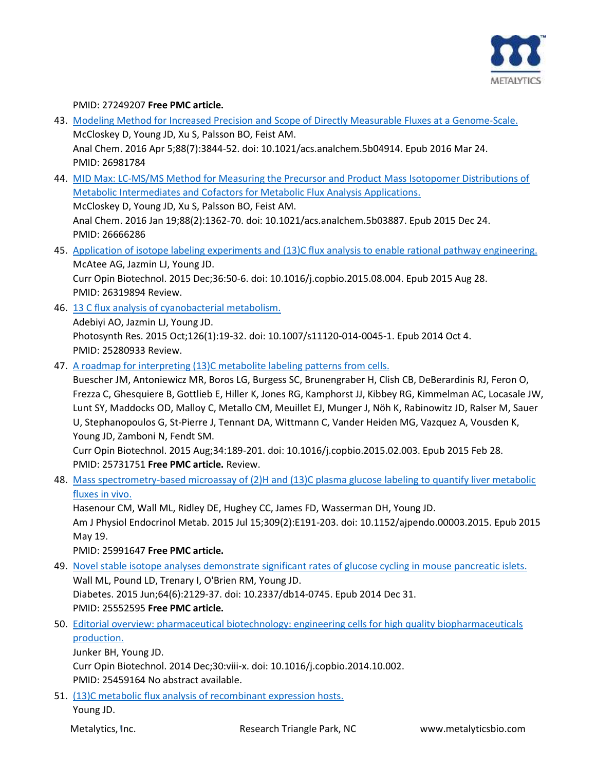

## PMID: 27249207 **Free PMC article.**

- 43. [Modeling Method for Increased Precision and Scope of Directly Measurable Fluxes at a Genome-Scale.](https://pubmed.ncbi.nlm.nih.gov/26981784/) McCloskey D, Young JD, Xu S, Palsson BO, Feist AM. Anal Chem. 2016 Apr 5;88(7):3844-52. doi: 10.1021/acs.analchem.5b04914. Epub 2016 Mar 24. PMID: 26981784
- 44. [MID Max: LC-MS/MS Method for Measuring the Precursor and Product Mass Isotopomer Distributions of](https://pubmed.ncbi.nlm.nih.gov/26666286/)  [Metabolic Intermediates and Cofactors for Metabolic Flux Analysis Applications.](https://pubmed.ncbi.nlm.nih.gov/26666286/) McCloskey D, Young JD, Xu S, Palsson BO, Feist AM. Anal Chem. 2016 Jan 19;88(2):1362-70. doi: 10.1021/acs.analchem.5b03887. Epub 2015 Dec 24. PMID: 26666286
- 45. [Application of isotope labeling experiments and \(13\)C flux analysis to enable rational pathway engineering.](https://pubmed.ncbi.nlm.nih.gov/26319894/) McAtee AG, Jazmin LJ, Young JD.

Curr Opin Biotechnol. 2015 Dec;36:50-6. doi: 10.1016/j.copbio.2015.08.004. Epub 2015 Aug 28. PMID: 26319894 Review.

- 46. [13 C flux analysis of cyanobacterial metabolism.](https://pubmed.ncbi.nlm.nih.gov/25280933/) Adebiyi AO, Jazmin LJ, Young JD. Photosynth Res. 2015 Oct;126(1):19-32. doi: 10.1007/s11120-014-0045-1. Epub 2014 Oct 4. PMID: 25280933 Review.
- 47. [A roadmap for interpreting \(13\)C metabolite labeling patterns from cells.](https://pubmed.ncbi.nlm.nih.gov/25731751/)

Buescher JM, Antoniewicz MR, Boros LG, Burgess SC, Brunengraber H, Clish CB, DeBerardinis RJ, Feron O, Frezza C, Ghesquiere B, Gottlieb E, Hiller K, Jones RG, Kamphorst JJ, Kibbey RG, Kimmelman AC, Locasale JW, Lunt SY, Maddocks OD, Malloy C, Metallo CM, Meuillet EJ, Munger J, Nöh K, Rabinowitz JD, Ralser M, Sauer U, Stephanopoulos G, St-Pierre J, Tennant DA, Wittmann C, Vander Heiden MG, Vazquez A, Vousden K, Young JD, Zamboni N, Fendt SM.

Curr Opin Biotechnol. 2015 Aug;34:189-201. doi: 10.1016/j.copbio.2015.02.003. Epub 2015 Feb 28. PMID: 25731751 **Free PMC article.** Review.

48. [Mass spectrometry-based microassay of \(2\)H and \(13\)C plasma glucose labeling to quantify liver metabolic](https://pubmed.ncbi.nlm.nih.gov/25991647/)  [fluxes in vivo.](https://pubmed.ncbi.nlm.nih.gov/25991647/)

Hasenour CM, Wall ML, Ridley DE, Hughey CC, James FD, Wasserman DH, Young JD. Am J Physiol Endocrinol Metab. 2015 Jul 15;309(2):E191-203. doi: 10.1152/ajpendo.00003.2015. Epub 2015 May 19.

## PMID: 25991647 **Free PMC article.**

- 49. [Novel stable isotope analyses demonstrate significant rates of glucose cycling in mouse pancreatic islets.](https://pubmed.ncbi.nlm.nih.gov/25552595/) Wall ML, Pound LD, Trenary I, O'Brien RM, Young JD. Diabetes. 2015 Jun;64(6):2129-37. doi: 10.2337/db14-0745. Epub 2014 Dec 31. PMID: 25552595 **Free PMC article.**
- 50. [Editorial overview: pharmaceutical biotechnology: engineering cells for high quality biopharmaceuticals](https://pubmed.ncbi.nlm.nih.gov/25459164/)  [production.](https://pubmed.ncbi.nlm.nih.gov/25459164/)

Junker BH, Young JD.

Curr Opin Biotechnol. 2014 Dec;30:viii-x. doi: 10.1016/j.copbio.2014.10.002.

PMID: 25459164 No abstract available.

51. [\(13\)C metabolic flux analysis of recombinant expression hosts.](https://pubmed.ncbi.nlm.nih.gov/25456032/) Young JD.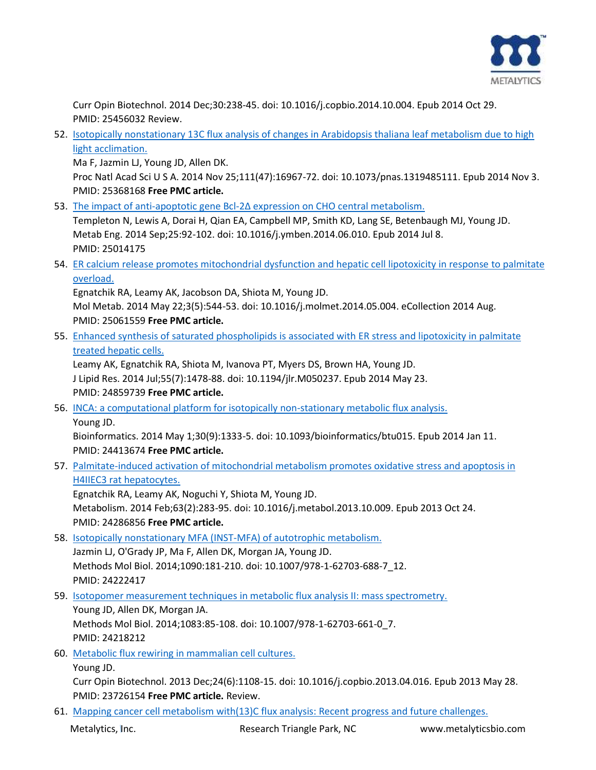

Curr Opin Biotechnol. 2014 Dec;30:238-45. doi: 10.1016/j.copbio.2014.10.004. Epub 2014 Oct 29. PMID: 25456032 Review.

52. [Isotopically nonstationary 13C flux analysis of changes in Arabidopsis thaliana leaf metabolism due to high](https://pubmed.ncbi.nlm.nih.gov/25368168/) [light acclimation.](https://pubmed.ncbi.nlm.nih.gov/25368168/)

Ma F, Jazmin LJ, Young JD, Allen DK.

Proc Natl Acad Sci U S A. 2014 Nov 25;111(47):16967-72. doi: 10.1073/pnas.1319485111. Epub 2014 Nov 3. PMID: 25368168 **Free PMC article.**

53. The impact of anti-apoptotic gene Bcl-[2∆ expression on CHO central metabolism.](https://pubmed.ncbi.nlm.nih.gov/25014175/)

Templeton N, Lewis A, Dorai H, Qian EA, Campbell MP, Smith KD, Lang SE, Betenbaugh MJ, Young JD. Metab Eng. 2014 Sep;25:92-102. doi: 10.1016/j.ymben.2014.06.010. Epub 2014 Jul 8. PMID: 25014175

54. [ER calcium release promotes mitochondrial dysfunction and hepatic cell lipotoxicity in response to palmitate](https://pubmed.ncbi.nlm.nih.gov/25061559/)  [overload.](https://pubmed.ncbi.nlm.nih.gov/25061559/)

Egnatchik RA, Leamy AK, Jacobson DA, Shiota M, Young JD.

Mol Metab. 2014 May 22;3(5):544-53. doi: 10.1016/j.molmet.2014.05.004. eCollection 2014 Aug. PMID: 25061559 **Free PMC article.**

55. [Enhanced synthesis of saturated phospholipids is associated with ER stress and lipotoxicity in palmitate](https://pubmed.ncbi.nlm.nih.gov/24859739/)  [treated hepatic cells.](https://pubmed.ncbi.nlm.nih.gov/24859739/)

Leamy AK, Egnatchik RA, Shiota M, Ivanova PT, Myers DS, Brown HA, Young JD. J Lipid Res. 2014 Jul;55(7):1478-88. doi: 10.1194/jlr.M050237. Epub 2014 May 23. PMID: 24859739 **Free PMC article.**

56. [INCA: a computational platform for isotopically non-stationary metabolic flux analysis.](https://pubmed.ncbi.nlm.nih.gov/24413674/) Young JD.

Bioinformatics. 2014 May 1;30(9):1333-5. doi: 10.1093/bioinformatics/btu015. Epub 2014 Jan 11. PMID: 24413674 **Free PMC article.**

57. [Palmitate-induced activation of mitochondrial metabolism promotes oxidative stress and apoptosis in](https://pubmed.ncbi.nlm.nih.gov/24286856/)  [H4IIEC3 rat hepatocytes.](https://pubmed.ncbi.nlm.nih.gov/24286856/)

Egnatchik RA, Leamy AK, Noguchi Y, Shiota M, Young JD. Metabolism. 2014 Feb;63(2):283-95. doi: 10.1016/j.metabol.2013.10.009. Epub 2013 Oct 24. PMID: 24286856 **Free PMC article.**

58. [Isotopically nonstationary MFA \(INST-MFA\) of autotrophic metabolism.](https://pubmed.ncbi.nlm.nih.gov/24222417/) Jazmin LJ, O'Grady JP, Ma F, Allen DK, Morgan JA, Young JD. Methods Mol Biol. 2014;1090:181-210. doi: 10.1007/978-1-62703-688-7\_12. PMID: 24222417

59. [Isotopomer measurement techniques in metabolic flux analysis II: mass spectrometry.](https://pubmed.ncbi.nlm.nih.gov/24218212/) Young JD, Allen DK, Morgan JA. Methods Mol Biol. 2014;1083:85-108. doi: 10.1007/978-1-62703-661-0\_7. PMID: 24218212

60. [Metabolic flux rewiring in mammalian cell cultures.](https://pubmed.ncbi.nlm.nih.gov/23726154/) Young JD.

Curr Opin Biotechnol. 2013 Dec;24(6):1108-15. doi: 10.1016/j.copbio.2013.04.016. Epub 2013 May 28. PMID: 23726154 **Free PMC article.** Review.

61. [Mapping cancer cell metabolism with\(13\)C flux analysis: Recent progress and future challenges.](https://pubmed.ncbi.nlm.nih.gov/23961260/)

Metalytics, Inc. The Research Triangle Park, NC www.metalyticsbio.com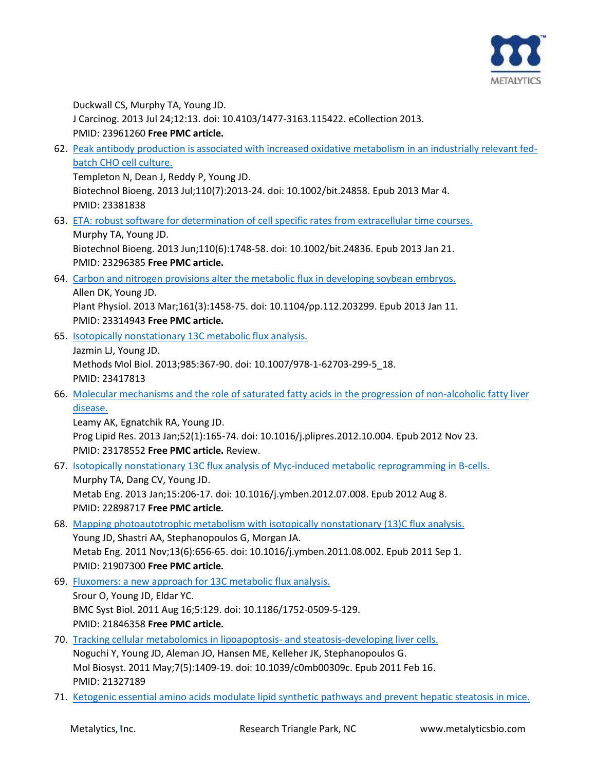

Duckwall CS, Murphy TA, Young JD. J Carcinog. 2013 Jul 24;12:13. doi: 10.4103/1477-3163.115422. eCollection 2013. PMID: 23961260 **Free PMC article.**

62. [Peak antibody production is associated with increased oxidative metabolism in an industrially relevant fed](https://pubmed.ncbi.nlm.nih.gov/23381838/)[batch CHO cell culture.](https://pubmed.ncbi.nlm.nih.gov/23381838/)

Templeton N, Dean J, Reddy P, Young JD. Biotechnol Bioeng. 2013 Jul;110(7):2013-24. doi: 10.1002/bit.24858. Epub 2013 Mar 4. PMID: 23381838

63. [ETA: robust software for determination of cell specific rates from extracellular time courses.](https://pubmed.ncbi.nlm.nih.gov/23296385/)

Murphy TA, Young JD. Biotechnol Bioeng. 2013 Jun;110(6):1748-58. doi: 10.1002/bit.24836. Epub 2013 Jan 21. PMID: 23296385 **Free PMC article.**

64. [Carbon and nitrogen provisions alter the metabolic flux in developing soybean embryos.](https://pubmed.ncbi.nlm.nih.gov/23314943/) Allen DK, Young JD. Plant Physiol. 2013 Mar;161(3):1458-75. doi: 10.1104/pp.112.203299. Epub 2013 Jan 11.

PMID: 23314943 **Free PMC article.**

PMID: 23417813

- 65. [Isotopically nonstationary 13C metabolic flux analysis.](https://pubmed.ncbi.nlm.nih.gov/23417813/) Jazmin LJ, Young JD. Methods Mol Biol. 2013;985:367-90. doi: 10.1007/978-1-62703-299-5\_18.
- 66. [Molecular mechanisms and the role of saturated fatty acids in the progression of non-alcoholic fatty liver](https://pubmed.ncbi.nlm.nih.gov/23178552/)  [disease.](https://pubmed.ncbi.nlm.nih.gov/23178552/)

Leamy AK, Egnatchik RA, Young JD. Prog Lipid Res. 2013 Jan;52(1):165-74. doi: 10.1016/j.plipres.2012.10.004. Epub 2012 Nov 23. PMID: 23178552 **Free PMC article.** Review.

- 67. [Isotopically nonstationary 13C flux analysis of Myc-induced metabolic reprogramming in B-cells.](https://pubmed.ncbi.nlm.nih.gov/22898717/) Murphy TA, Dang CV, Young JD. Metab Eng. 2013 Jan;15:206-17. doi: 10.1016/j.ymben.2012.07.008. Epub 2012 Aug 8. PMID: 22898717 **Free PMC article.**
- 68. [Mapping photoautotrophic metabolism with isotopically nonstationary \(13\)C flux analysis.](https://pubmed.ncbi.nlm.nih.gov/21907300/) Young JD, Shastri AA, Stephanopoulos G, Morgan JA. Metab Eng. 2011 Nov;13(6):656-65. doi: 10.1016/j.ymben.2011.08.002. Epub 2011 Sep 1. PMID: 21907300 **Free PMC article.**
- 69. [Fluxomers: a new approach for 13C metabolic flux analysis.](https://pubmed.ncbi.nlm.nih.gov/21846358/) Srour O, Young JD, Eldar YC. BMC Syst Biol. 2011 Aug 16;5:129. doi: 10.1186/1752-0509-5-129. PMID: 21846358 **Free PMC article.**
- 70. [Tracking cellular metabolomics in lipoapoptosis-](https://pubmed.ncbi.nlm.nih.gov/21327189/) and steatosis-developing liver cells. Noguchi Y, Young JD, Aleman JO, Hansen ME, Kelleher JK, Stephanopoulos G. Mol Biosyst. 2011 May;7(5):1409-19. doi: 10.1039/c0mb00309c. Epub 2011 Feb 16. PMID: 21327189
- 71. [Ketogenic essential amino acids modulate lipid synthetic pathways and prevent hepatic steatosis in mice.](https://pubmed.ncbi.nlm.nih.gov/20706589/)